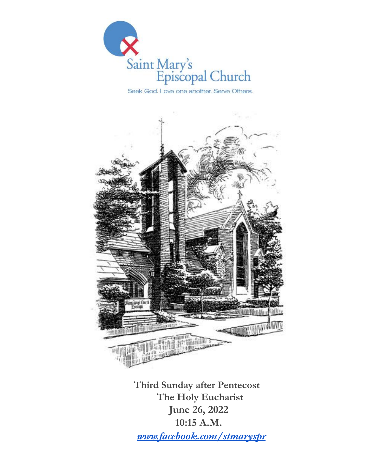

Seek God. Love one another. Serve Others.



**Third Sunday after Pentecost The Holy Eucharist June 26, 2022 10:15 A.M.** *[www.facebook.com/stmaryspr](http://www.facebook.com/stmaryspr)*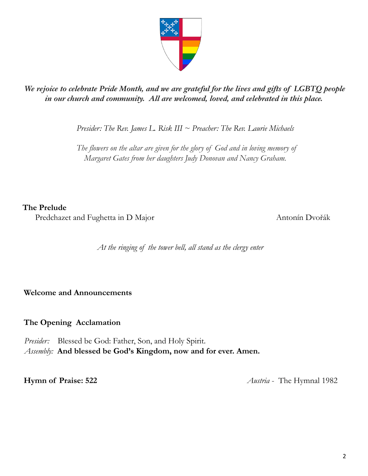

# *We rejoice to celebrate Pride Month, and we are grateful for the lives and gifts of LGBTQ people in our church and community. All are welcomed, loved, and celebrated in this place.*

*Presider: The Rev. James L. Risk III ~ Preacher: The Rev. Laurie Michaels*

*The flowers on the altar are given for the glory of God and in loving memory of Margaret Gates from her daughters Judy Donovan and Nancy Graham.*

**The Prelude**

Predchazet and Fughetta in D Major Antonín Dvořák

*At the ringing of the tower bell, all stand as the clergy enter*

## **Welcome and Announcements**

# **The Opening Acclamation**

*Presider:* Blessed be God: Father, Son, and Holy Spirit. *Assembly:* **And blessed be God's Kingdom, now and for ever. Amen.**

**Hymn of Praise: 522** *Austria* - The Hymnal 1982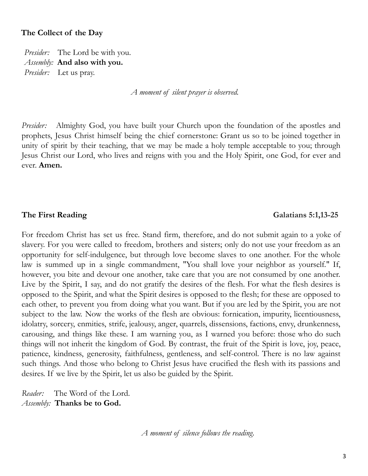### **The Collect of the Day**

*Presider:* The Lord be with you. *Assembly:* **And also with you.** *Presider:* Let us pray.

*A moment of silent prayer is observed.*

*Presider:* Almighty God, you have built your Church upon the foundation of the apostles and prophets, Jesus Christ himself being the chief cornerstone: Grant us so to be joined together in unity of spirit by their teaching, that we may be made a holy temple acceptable to you; through Jesus Christ our Lord, who lives and reigns with you and the Holy Spirit, one God, for ever and ever. **Amen.**

#### **The First Reading Galatians 5:1,13-25**

For freedom Christ has set us free. Stand firm, therefore, and do not submit again to a yoke of slavery. For you were called to freedom, brothers and sisters; only do not use your freedom as an opportunity for self-indulgence, but through love become slaves to one another. For the whole law is summed up in a single commandment, "You shall love your neighbor as yourself." If, however, you bite and devour one another, take care that you are not consumed by one another. Live by the Spirit, I say, and do not gratify the desires of the flesh. For what the flesh desires is opposed to the Spirit, and what the Spirit desires is opposed to the flesh; for these are opposed to each other, to prevent you from doing what you want. But if you are led by the Spirit, you are not subject to the law. Now the works of the flesh are obvious: fornication, impurity, licentiousness, idolatry, sorcery, enmities, strife, jealousy, anger, quarrels, dissensions, factions, envy, drunkenness, carousing, and things like these. I am warning you, as I warned you before: those who do such things will not inherit the kingdom of God. By contrast, the fruit of the Spirit is love, joy, peace, patience, kindness, generosity, faithfulness, gentleness, and self-control. There is no law against such things. And those who belong to Christ Jesus have crucified the flesh with its passions and desires. If we live by the Spirit, let us also be guided by the Spirit.

*Reader:* The Word of the Lord. *Assembly:* **Thanks be to God.**

*A moment of silence follows the reading.*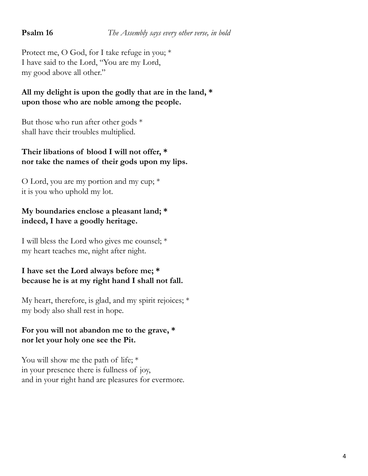Protect me, O God, for I take refuge in you; \* I have said to the Lord, "You are my Lord, my good above all other."

# **All my delight is upon the godly that are in the land, \* upon those who are noble among the people.**

But those who run after other gods  $*$ shall have their troubles multiplied.

# **Their libations of blood I will not offer, \* nor take the names of their gods upon my lips.**

O Lord, you are my portion and my cup; \* it is you who uphold my lot.

# **My boundaries enclose a pleasant land; \* indeed, I have a goodly heritage.**

I will bless the Lord who gives me counsel; \* my heart teaches me, night after night.

## **I have set the Lord always before me; \* because he is at my right hand I shall not fall.**

My heart, therefore, is glad, and my spirit rejoices; \* my body also shall rest in hope.

# **For you will not abandon me to the grave, \* nor let your holy one see the Pit.**

You will show me the path of life;  $*$ in your presence there is fullness of joy, and in your right hand are pleasures for evermore.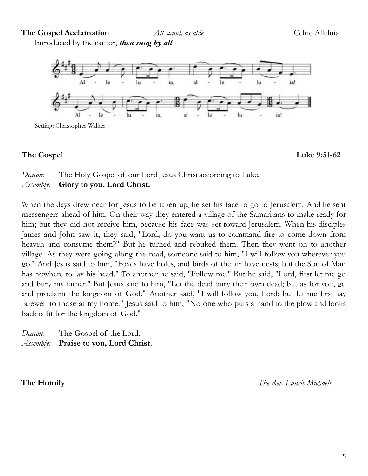## **The Gospel Acclamation** *All stand, as able* Celtic Alleluia

Introduced by the cantor, *then sung by all*



**The Gospel Luke 9:51-62**

*Deacon:* The Holy Gospel of our Lord Jesus Christ according to Luke. *Assembly:* **Glory to you, Lord Christ.**

When the days drew near for Jesus to be taken up, he set his face to go to Jerusalem. And he sent messengers ahead of him. On their way they entered a village of the Samaritans to make ready for him; but they did not receive him, because his face was set toward Jerusalem. When his disciples James and John saw it, they said, "Lord, do you want us to command fire to come down from heaven and consume them?" But he turned and rebuked them. Then they went on to another village. As they were going along the road, someone said to him, "I will follow you wherever you go." And Jesus said to him, "Foxes have holes, and birds of the air have nests; but the Son of Man has nowhere to lay his head." To another he said, "Follow me." But he said, "Lord, first let me go and bury my father." But Jesus said to him, "Let the dead bury their own dead; but as for you, go and proclaim the kingdom of God." Another said, "I will follow you, Lord; but let me first say farewell to those at my home." Jesus said to him, "No one who puts a hand to the plow and looks back is fit for the kingdom of God."

*Deacon:* The Gospel of the Lord. *Assembly:* **Praise to you, Lord Christ.**

**The Homily** *The Rev. Laurie Michaels*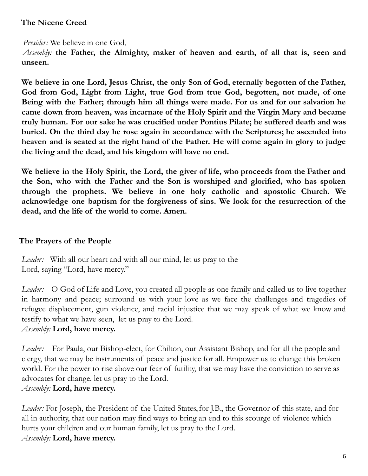# **The Nicene Creed**

*Presider:* We believe in one God,

*Assembly:* **the Father, the Almighty, maker of heaven and earth, of all that is, seen and unseen.**

**We believe in one Lord, Jesus Christ, the only Son of God, eternally begotten of the Father, God from God, Light from Light, true God from true God, begotten, not made, of one Being with the Father; through him all things were made. For us and for our salvation he came down from heaven, was incarnate of the Holy Spirit and the Virgin Mary and became truly human. For our sake he was crucified under Pontius Pilate; he suffered death and was buried. On the third day he rose again in accordance with the Scriptures; he ascended into heaven and is seated at the right hand of the Father. He will come again in glory to judge the living and the dead, and his kingdom will have no end.**

**We believe in the Holy Spirit, the Lord, the giver of life, who proceeds from the Father and the Son, who with the Father and the Son is worshiped and glorified, who has spoken through the prophets. We believe in one holy catholic and apostolic Church. We acknowledge one baptism for the forgiveness of sins. We look for the resurrection of the dead, and the life of the world to come. Amen.**

## **The Prayers of the People**

*Leader:* With all our heart and with all our mind, let us pray to the Lord, saying "Lord, have mercy."

*Leader:* O God of Life and Love, you created all people as one family and called us to live together in harmony and peace; surround us with your love as we face the challenges and tragedies of refugee displacement, gun violence, and racial injustice that we may speak of what we know and testify to what we have seen, let us pray to the Lord.

### *Assembly:* **Lord, have mercy.**

*Leader:* For Paula, our Bishop-elect, for Chilton, our Assistant Bishop, and for all the people and clergy, that we may be instruments of peace and justice for all. Empower us to change this broken world. For the power to rise above our fear of futility, that we may have the conviction to serve as advocates for change. let us pray to the Lord.

### *Assembly:* **Lord, have mercy.**

Leader: For Joseph, the President of the United States, for J.B., the Governor of this state, and for all in authority, that our nation may find ways to bring an end to this scourge of violence which hurts your children and our human family, let us pray to the Lord. *Assembly:* **Lord, have mercy.**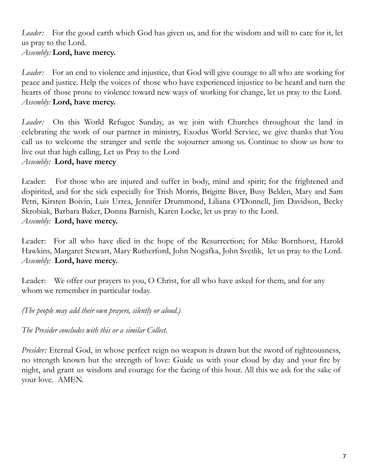*Leader:* For the good earth which God has given us, and for the wisdom and will to care for it, let us pray to the Lord.

# *Assembly:* **Lord, have mercy.**

*Leader:* For an end to violence and injustice, that God will give courage to all who are working for peace and justice. Help the voices of those who have experienced injustice to be heard and turn the hearts of those prone to violence toward new ways of working for change, let us pray to the Lord. *Assembly:* **Lord, have mercy.**

*Leader:* On this World Refugee Sunday, as we join with Churches throughout the land in celebrating the work of our partner in ministry, Exodus World Service, we give thanks that You call us to welcome the stranger and settle the sojourner among us. Continue to show us how to live out that high calling, Let us Pray to the Lord *Assembly:* **Lord, have mercy**

Leader: For those who are injured and suffer in body, mind and spirit; for the frightened and dispirited, and for the sick especially for Trish Morris, Brigitte Biver, Busy Belden, Mary and Sam Petri, Kirsten Boivin, Luis Urrea, Jennifer Drummond, Liliana O'Donnell, Jim Davidson, Becky Skrobiak, Barbara Baker, Donna Barnish, Karen Locke, let us pray to the Lord. *Assembly:* **Lord, have mercy.**

Leader: For all who have died in the hope of the Resurrection; for Mike Bornhorst, Harold Hawkins, Margaret Stewart, Mary Rutherford, John Nogafka, John Svetlik, let us pray to the Lord. *Assembly:* **Lord, have mercy.**

Leader: We offer our prayers to you, O Christ, for all who have asked for them, and for any whom we remember in particular today.

*(The people may add their own prayers, silently or aloud.)*

*The Presider concludes with this or a similar Collect.*

*Presider:* Eternal God, in whose perfect reign no weapon is drawn but the sword of righteousness, no strength known but the strength of love: Guide us with your cloud by day and your fire by night, and grant us wisdom and courage for the facing of this hour. All this we ask for the sake of your love. AMEN.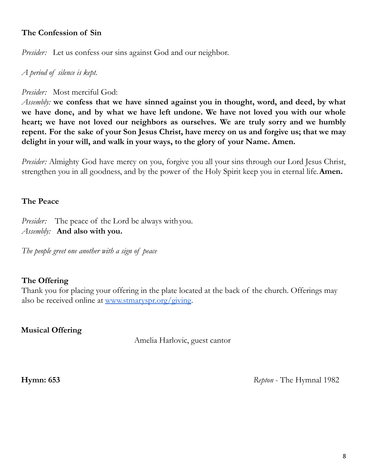## **The Confession of Sin**

*Presider:* Let us confess our sins against God and our neighbor.

*A period of silence is kept.*

## *Presider:* Most merciful God:

*Assembly:* **we confess that we have sinned against you in thought, word, and deed, by what we have done, and by what we have left undone. We have not loved you with our whole heart; we have not loved our neighbors as ourselves. We are truly sorry and we humbly repent. For the sake of your Son Jesus Christ, have mercy on us and forgive us; that we may delight in your will, and walk in your ways, to the glory of your Name. Amen.**

*Presider:* Almighty God have mercy on you, forgive you all your sins through our Lord Jesus Christ, strengthen you in all goodness, and by the power of the Holy Spirit keep you in eternal life.**Amen.**

## **The Peace**

*Presider:* The peace of the Lord be always withyou. *Assembly:* **And also with you.**

*The people greet one another with a sign of peace*

## **The Offering**

Thank you for placing your offering in the plate located at the back of the church. Offerings may also be received online at [www.stmaryspr.org/giving](http://www.stmaryspr.org/giving).

## **Musical Offering**

Amelia Harlovic, guest cantor

**Hymn: 653** *Repton* - The Hymnal 1982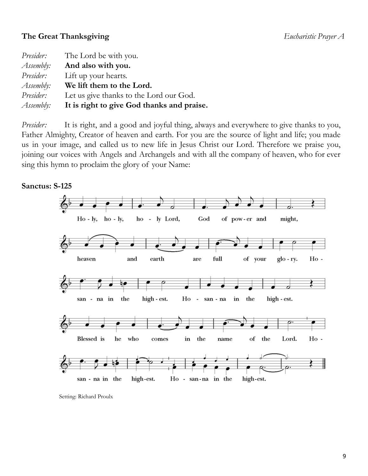# **The Great Thanksgiving** *Eucharistic Prayer A*

| Presider: | The Lord be with you.                      |
|-----------|--------------------------------------------|
| Assembly: | And also with you.                         |
| Presider: | Lift up your hearts.                       |
| Assembly: | We lift them to the Lord.                  |
| Presider: | Let us give thanks to the Lord our God.    |
| Assembly: | It is right to give God thanks and praise. |

*Presider:* It is right, and a good and joyful thing, always and everywhere to give thanks to you, Father Almighty, Creator of heaven and earth. For you are the source of light and life; you made us in your image, and called us to new life in Jesus Christ our Lord. Therefore we praise you, joining our voices with Angels and Archangels and with all the company of heaven, who for ever sing this hymn to proclaim the glory of your Name:

#### **Sanctus: S-125**



Setting: Richard Proulx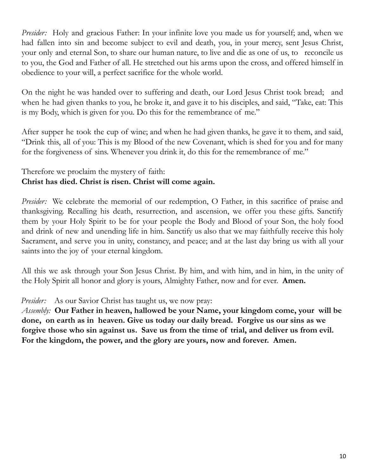*Presider:* Holy and gracious Father: In your infinite love you made us for yourself; and, when we had fallen into sin and become subject to evil and death, you, in your mercy, sent Jesus Christ, your only and eternal Son, to share our human nature, to live and die as one of us, to reconcile us to you, the God and Father of all. He stretched out his arms upon the cross, and offered himself in obedience to your will, a perfect sacrifice for the whole world.

On the night he was handed over to suffering and death, our Lord Jesus Christ took bread; and when he had given thanks to you, he broke it, and gave it to his disciples, and said, "Take, eat: This is my Body, which is given for you. Do this for the remembrance of me."

After supper he took the cup of wine; and when he had given thanks, he gave it to them, and said, "Drink this, all of you: This is my Blood of the new Covenant, which is shed for you and for many for the forgiveness of sins. Whenever you drink it, do this for the remembrance of me."

# Therefore we proclaim the mystery of faith: **Christ has died. Christ is risen. Christ will come again.**

*Presider:* We celebrate the memorial of our redemption, O Father, in this sacrifice of praise and thanksgiving. Recalling his death, resurrection, and ascension, we offer you these gifts. Sanctify them by your Holy Spirit to be for your people the Body and Blood of your Son, the holy food and drink of new and unending life in him. Sanctify us also that we may faithfully receive this holy Sacrament, and serve you in unity, constancy, and peace; and at the last day bring us with all your saints into the joy of your eternal kingdom.

All this we ask through your Son Jesus Christ. By him, and with him, and in him, in the unity of the Holy Spirit all honor and glory is yours, Almighty Father, now and for ever. **Amen.**

*Presider:* As our Savior Christ has taught us, we now pray:

*Assembly:* **Our Father in heaven, hallowed be your Name, your kingdom come, your will be done, on earth as in heaven. Give us today our daily bread. Forgive us our sins as we forgive those who sin against us. Save us from the time of trial, and deliver us from evil. For the kingdom, the power, and the glory are yours, now and forever. Amen.**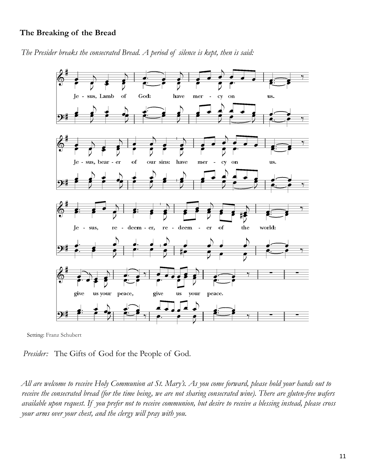#### **The Breaking of the Bread**

*The Presider breaks the consecrated Bread. A period of silence is kept, then is said:*



Setting: Franz Schubert

*Presider:* The Gifts of God for the People of God.

All are welcome to receive Holy Communion at St. Mary's. As you come forward, please hold your hands out to receive the consecrated bread (for the time being, we are not sharing consecrated wine). There are gluten-free wafers available upon request. If you prefer not to receive communion, but desire to receive a blessing instead, please cross *your arms over your chest, and the clergy will pray with you.*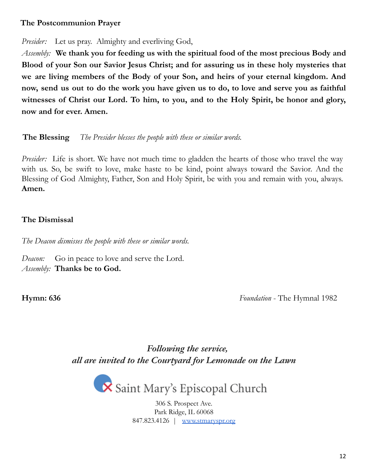## **The Postcommunion Prayer**

*Presider:* Let us pray. Almighty and everliving God,

*Assembly:* **We thank you for feeding us with the spiritual food of the most precious Body and Blood of your Son our Savior Jesus Christ; and for assuring us in these holy mysteries that we are living members of the Body of your Son, and heirs of your eternal kingdom. And** now, send us out to do the work you have given us to do, to love and serve you as faithful **witnesses of Christ our Lord. To him, to you, and to the Holy Spirit, be honor and glory, now and for ever. Amen.**

### **The Blessing** *The Presider blesses the people with these or similar words.*

*Presider:* Life is short. We have not much time to gladden the hearts of those who travel the way with us. So, be swift to love, make haste to be kind, point always toward the Savior. And the Blessing of God Almighty, Father, Son and Holy Spirit, be with you and remain with you, always. **Amen.**

### **The Dismissal**

*The Deacon dismisses the people with these or similar words.*

*Deacon:* Go in peace to love and serve the Lord. *Assembly:* **Thanks be to God.**

**Hymn: 636** *Foundation* - The Hymnal 1982

*Following the service, all are invited to the Courtyard for Lemonade on the Lawn*



306 S. Prospect Ave. Park Ridge, IL 60068 847.823.4126 | [www.stmaryspr.org](http://www.stmaryspr.org)